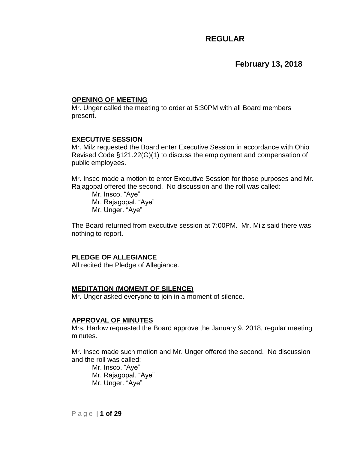### **February 13, 2018**

#### **OPENING OF MEETING**

Mr. Unger called the meeting to order at 5:30PM with all Board members present.

### **EXECUTIVE SESSION**

Mr. Milz requested the Board enter Executive Session in accordance with Ohio Revised Code §121.22(G)(1) to discuss the employment and compensation of public employees.

Mr. Insco made a motion to enter Executive Session for those purposes and Mr. Rajagopal offered the second. No discussion and the roll was called:

Mr. Insco. "Aye"

Mr. Rajagopal. "Aye"

Mr. Unger. "Aye"

The Board returned from executive session at 7:00PM. Mr. Milz said there was nothing to report.

### **PLEDGE OF ALLEGIANCE**

All recited the Pledge of Allegiance.

### **MEDITATION (MOMENT OF SILENCE)**

Mr. Unger asked everyone to join in a moment of silence.

### **APPROVAL OF MINUTES**

Mrs. Harlow requested the Board approve the January 9, 2018, regular meeting minutes.

Mr. Insco made such motion and Mr. Unger offered the second. No discussion and the roll was called:

Mr. Insco. "Aye" Mr. Rajagopal. "Aye" Mr. Unger. "Aye"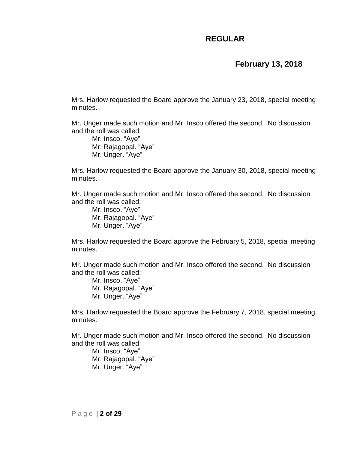### **February 13, 2018**

Mrs. Harlow requested the Board approve the January 23, 2018, special meeting minutes.

Mr. Unger made such motion and Mr. Insco offered the second. No discussion and the roll was called:

Mr. Insco. "Aye" Mr. Rajagopal. "Aye" Mr. Unger. "Aye"

Mrs. Harlow requested the Board approve the January 30, 2018, special meeting minutes.

Mr. Unger made such motion and Mr. Insco offered the second. No discussion and the roll was called:

Mr. Insco. "Aye" Mr. Rajagopal. "Aye" Mr. Unger. "Aye"

Mrs. Harlow requested the Board approve the February 5, 2018, special meeting minutes.

Mr. Unger made such motion and Mr. Insco offered the second. No discussion and the roll was called:

Mr. Insco. "Aye" Mr. Rajagopal. "Aye" Mr. Unger. "Aye"

Mrs. Harlow requested the Board approve the February 7, 2018, special meeting minutes.

Mr. Unger made such motion and Mr. Insco offered the second. No discussion and the roll was called:

Mr. Insco. "Aye" Mr. Rajagopal. "Aye" Mr. Unger. "Aye"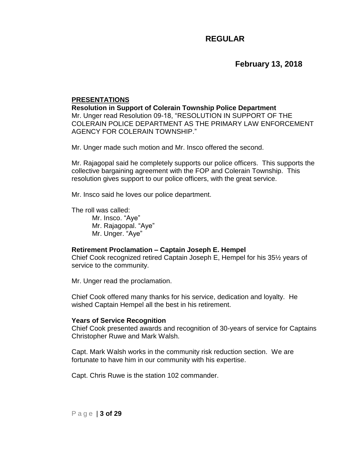### **February 13, 2018**

### **PRESENTATIONS**

**Resolution in Support of Colerain Township Police Department** Mr. Unger read Resolution 09-18, "RESOLUTION IN SUPPORT OF THE COLERAIN POLICE DEPARTMENT AS THE PRIMARY LAW ENFORCEMENT AGENCY FOR COLERAIN TOWNSHIP."

Mr. Unger made such motion and Mr. Insco offered the second.

Mr. Rajagopal said he completely supports our police officers. This supports the collective bargaining agreement with the FOP and Colerain Township. This resolution gives support to our police officers, with the great service.

Mr. Insco said he loves our police department.

The roll was called:

Mr. Insco. "Aye" Mr. Rajagopal. "Aye" Mr. Unger. "Aye"

#### **Retirement Proclamation – Captain Joseph E. Hempel**

Chief Cook recognized retired Captain Joseph E, Hempel for his 35½ years of service to the community.

Mr. Unger read the proclamation.

Chief Cook offered many thanks for his service, dedication and loyalty. He wished Captain Hempel all the best in his retirement.

#### **Years of Service Recognition**

Chief Cook presented awards and recognition of 30-years of service for Captains Christopher Ruwe and Mark Walsh.

Capt. Mark Walsh works in the community risk reduction section. We are fortunate to have him in our community with his expertise.

Capt. Chris Ruwe is the station 102 commander.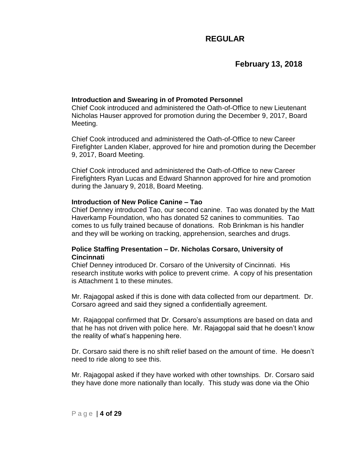### **February 13, 2018**

### **Introduction and Swearing in of Promoted Personnel**

Chief Cook introduced and administered the Oath-of-Office to new Lieutenant Nicholas Hauser approved for promotion during the December 9, 2017, Board Meeting.

Chief Cook introduced and administered the Oath-of-Office to new Career Firefighter Landen Klaber, approved for hire and promotion during the December 9, 2017, Board Meeting.

Chief Cook introduced and administered the Oath-of-Office to new Career Firefighters Ryan Lucas and Edward Shannon approved for hire and promotion during the January 9, 2018, Board Meeting.

### **Introduction of New Police Canine – Tao**

Chief Denney introduced Tao, our second canine. Tao was donated by the Matt Haverkamp Foundation, who has donated 52 canines to communities. Tao comes to us fully trained because of donations. Rob Brinkman is his handler and they will be working on tracking, apprehension, searches and drugs.

### **Police Staffing Presentation – Dr. Nicholas Corsaro, University of Cincinnati**

Chief Denney introduced Dr. Corsaro of the University of Cincinnati. His research institute works with police to prevent crime. A copy of his presentation is Attachment 1 to these minutes.

Mr. Rajagopal asked if this is done with data collected from our department. Dr. Corsaro agreed and said they signed a confidentially agreement.

Mr. Rajagopal confirmed that Dr. Corsaro's assumptions are based on data and that he has not driven with police here. Mr. Rajagopal said that he doesn't know the reality of what's happening here.

Dr. Corsaro said there is no shift relief based on the amount of time. He doesn't need to ride along to see this.

Mr. Rajagopal asked if they have worked with other townships. Dr. Corsaro said they have done more nationally than locally. This study was done via the Ohio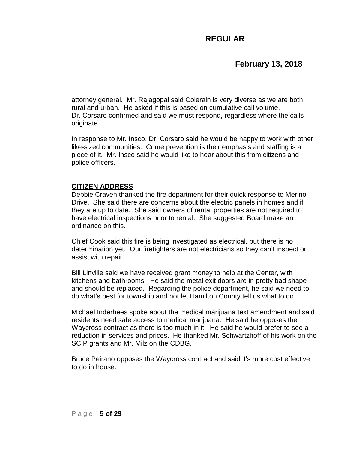### **February 13, 2018**

attorney general. Mr. Rajagopal said Colerain is very diverse as we are both rural and urban. He asked if this is based on cumulative call volume. Dr. Corsaro confirmed and said we must respond, regardless where the calls originate.

In response to Mr. Insco, Dr. Corsaro said he would be happy to work with other like-sized communities. Crime prevention is their emphasis and staffing is a piece of it. Mr. Insco said he would like to hear about this from citizens and police officers.

### **CITIZEN ADDRESS**

Debbie Craven thanked the fire department for their quick response to Merino Drive. She said there are concerns about the electric panels in homes and if they are up to date. She said owners of rental properties are not required to have electrical inspections prior to rental. She suggested Board make an ordinance on this.

Chief Cook said this fire is being investigated as electrical, but there is no determination yet. Our firefighters are not electricians so they can't inspect or assist with repair.

Bill Linville said we have received grant money to help at the Center, with kitchens and bathrooms. He said the metal exit doors are in pretty bad shape and should be replaced. Regarding the police department, he said we need to do what's best for township and not let Hamilton County tell us what to do.

Michael Inderhees spoke about the medical marijuana text amendment and said residents need safe access to medical marijuana. He said he opposes the Waycross contract as there is too much in it. He said he would prefer to see a reduction in services and prices. He thanked Mr. Schwartzhoff of his work on the SCIP grants and Mr. Milz on the CDBG.

Bruce Peirano opposes the Waycross contract and said it's more cost effective to do in house.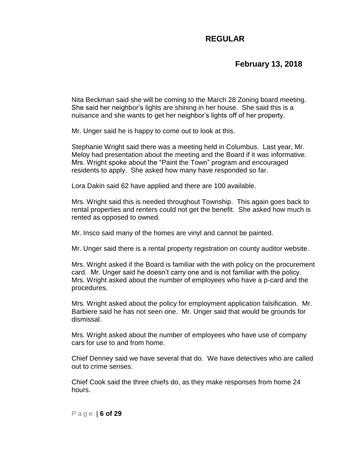## **February 13, 2018**

Nita Beckman said she will be coming to the March 28 Zoning board meeting. She said her neighbor's lights are shining in her house. She said this is a nuisance and she wants to get her neighbor's lights off of her property.

Mr. Unger said he is happy to come out to look at this.

Stephanie Wright said there was a meeting held in Columbus. Last year, Mr. Meloy had presentation about the meeting and the Board if it was informative. Mrs. Wright spoke about the "Paint the Town" program and encouraged residents to apply. She asked how many have responded so far.

Lora Dakin said 62 have applied and there are 100 available.

Mrs. Wright said this is needed throughout Township. This again goes back to rental properties and renters could not get the benefit. She asked how much is rented as opposed to owned.

Mr. Insco said many of the homes are vinyl and cannot be painted.

Mr. Unger said there is a rental property registration on county auditor website.

Mrs. Wright asked if the Board is familiar with the with policy on the procurement card. Mr. Unger said he doesn't carry one and is not familiar with the policy. Mrs. Wright asked about the number of employees who have a p-card and the procedures.

Mrs. Wright asked about the policy for employment application falsification. Mr. Barbiere said he has not seen one. Mr. Unger said that would be grounds for dismissal.

Mrs. Wright asked about the number of employees who have use of company cars for use to and from home.

Chief Denney said we have several that do. We have detectives who are called out to crime senses.

Chief Cook said the three chiefs do, as they make responses from home 24 hours.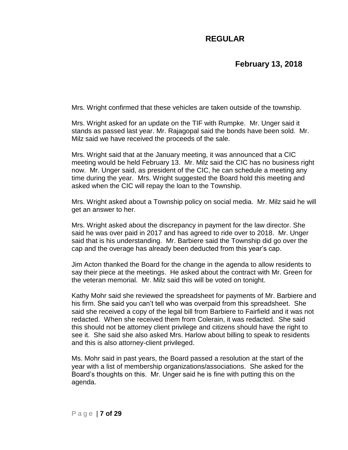### **February 13, 2018**

Mrs. Wright confirmed that these vehicles are taken outside of the township.

Mrs. Wright asked for an update on the TIF with Rumpke. Mr. Unger said it stands as passed last year. Mr. Rajagopal said the bonds have been sold. Mr. Milz said we have received the proceeds of the sale.

Mrs. Wright said that at the January meeting, it was announced that a CIC meeting would be held February 13. Mr. Milz said the CIC has no business right now. Mr. Unger said, as president of the CIC, he can schedule a meeting any time during the year. Mrs. Wright suggested the Board hold this meeting and asked when the CIC will repay the loan to the Township.

Mrs. Wright asked about a Township policy on social media. Mr. Milz said he will get an answer to her.

Mrs. Wright asked about the discrepancy in payment for the law director. She said he was over paid in 2017 and has agreed to ride over to 2018. Mr. Unger said that is his understanding. Mr. Barbiere said the Township did go over the cap and the overage has already been deducted from this year's cap.

Jim Acton thanked the Board for the change in the agenda to allow residents to say their piece at the meetings. He asked about the contract with Mr. Green for the veteran memorial. Mr. Milz said this will be voted on tonight.

Kathy Mohr said she reviewed the spreadsheet for payments of Mr. Barbiere and his firm. She said you can't tell who was overpaid from this spreadsheet. She said she received a copy of the legal bill from Barbiere to Fairfield and it was not redacted. When she received them from Colerain, it was redacted. She said this should not be attorney client privilege and citizens should have the right to see it. She said she also asked Mrs. Harlow about billing to speak to residents and this is also attorney-client privileged.

Ms. Mohr said in past years, the Board passed a resolution at the start of the year with a list of membership organizations/associations. She asked for the Board's thoughts on this. Mr. Unger said he is fine with putting this on the agenda.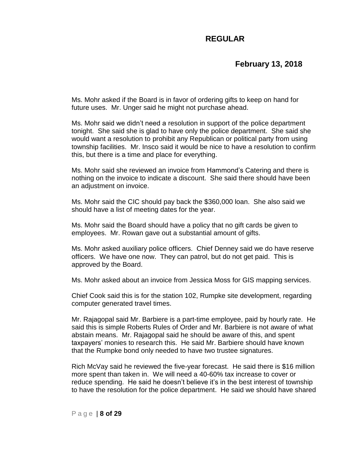### **February 13, 2018**

Ms. Mohr asked if the Board is in favor of ordering gifts to keep on hand for future uses. Mr. Unger said he might not purchase ahead.

Ms. Mohr said we didn't need a resolution in support of the police department tonight. She said she is glad to have only the police department. She said she would want a resolution to prohibit any Republican or political party from using township facilities. Mr. Insco said it would be nice to have a resolution to confirm this, but there is a time and place for everything.

Ms. Mohr said she reviewed an invoice from Hammond's Catering and there is nothing on the invoice to indicate a discount. She said there should have been an adjustment on invoice.

Ms. Mohr said the CIC should pay back the \$360,000 loan. She also said we should have a list of meeting dates for the year.

Ms. Mohr said the Board should have a policy that no gift cards be given to employees. Mr. Rowan gave out a substantial amount of gifts.

Ms. Mohr asked auxiliary police officers. Chief Denney said we do have reserve officers. We have one now. They can patrol, but do not get paid. This is approved by the Board.

Ms. Mohr asked about an invoice from Jessica Moss for GIS mapping services.

Chief Cook said this is for the station 102, Rumpke site development, regarding computer generated travel times.

Mr. Rajagopal said Mr. Barbiere is a part-time employee, paid by hourly rate. He said this is simple Roberts Rules of Order and Mr. Barbiere is not aware of what abstain means. Mr. Rajagopal said he should be aware of this, and spent taxpayers' monies to research this. He said Mr. Barbiere should have known that the Rumpke bond only needed to have two trustee signatures.

Rich McVay said he reviewed the five-year forecast. He said there is \$16 million more spent than taken in. We will need a 40-60% tax increase to cover or reduce spending. He said he doesn't believe it's in the best interest of township to have the resolution for the police department. He said we should have shared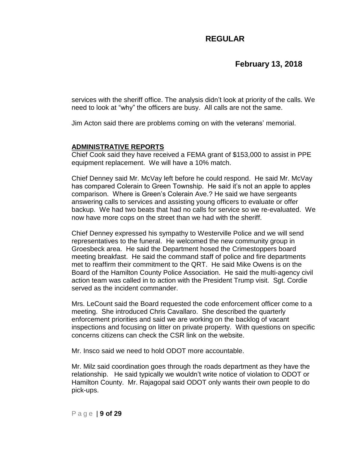## **February 13, 2018**

services with the sheriff office. The analysis didn't look at priority of the calls. We need to look at "why" the officers are busy. All calls are not the same.

Jim Acton said there are problems coming on with the veterans' memorial.

### **ADMINISTRATIVE REPORTS**

Chief Cook said they have received a FEMA grant of \$153,000 to assist in PPE equipment replacement. We will have a 10% match.

Chief Denney said Mr. McVay left before he could respond. He said Mr. McVay has compared Colerain to Green Township. He said it's not an apple to apples comparison. Where is Green's Colerain Ave.? He said we have sergeants answering calls to services and assisting young officers to evaluate or offer backup. We had two beats that had no calls for service so we re-evaluated. We now have more cops on the street than we had with the sheriff.

Chief Denney expressed his sympathy to Westerville Police and we will send representatives to the funeral. He welcomed the new community group in Groesbeck area. He said the Department hosed the Crimestoppers board meeting breakfast. He said the command staff of police and fire departments met to reaffirm their commitment to the QRT. He said Mike Owens is on the Board of the Hamilton County Police Association. He said the multi-agency civil action team was called in to action with the President Trump visit. Sgt. Cordie served as the incident commander.

Mrs. LeCount said the Board requested the code enforcement officer come to a meeting. She introduced Chris Cavallaro. She described the quarterly enforcement priorities and said we are working on the backlog of vacant inspections and focusing on litter on private property. With questions on specific concerns citizens can check the CSR link on the website.

Mr. Insco said we need to hold ODOT more accountable.

Mr. Milz said coordination goes through the roads department as they have the relationship. He said typically we wouldn't write notice of violation to ODOT or Hamilton County. Mr. Rajagopal said ODOT only wants their own people to do pick-ups.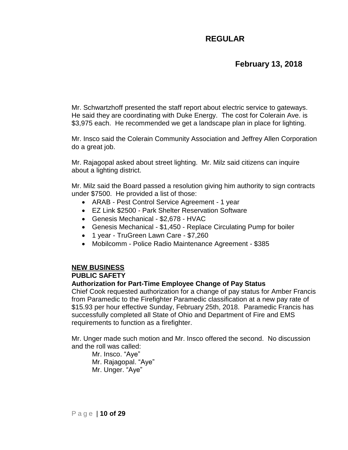## **February 13, 2018**

Mr. Schwartzhoff presented the staff report about electric service to gateways. He said they are coordinating with Duke Energy. The cost for Colerain Ave. is \$3,975 each. He recommended we get a landscape plan in place for lighting.

Mr. Insco said the Colerain Community Association and Jeffrey Allen Corporation do a great job.

Mr. Rajagopal asked about street lighting. Mr. Milz said citizens can inquire about a lighting district.

Mr. Milz said the Board passed a resolution giving him authority to sign contracts under \$7500. He provided a list of those:

- ARAB Pest Control Service Agreement 1 year
- EZ Link \$2500 Park Shelter Reservation Software
- Genesis Mechanical \$2,678 HVAC
- Genesis Mechanical \$1,450 Replace Circulating Pump for boiler
- 1 year TruGreen Lawn Care \$7,260
- Mobilcomm Police Radio Maintenance Agreement \$385

#### **NEW BUSINESS**

#### **PUBLIC SAFETY**

### **Authorization for Part-Time Employee Change of Pay Status**

Chief Cook requested authorization for a change of pay status for Amber Francis from Paramedic to the Firefighter Paramedic classification at a new pay rate of \$15.93 per hour effective Sunday, February 25th, 2018. Paramedic Francis has successfully completed all State of Ohio and Department of Fire and EMS requirements to function as a firefighter.

Mr. Unger made such motion and Mr. Insco offered the second. No discussion and the roll was called:

Mr. Insco. "Aye" Mr. Rajagopal. "Aye" Mr. Unger. "Aye"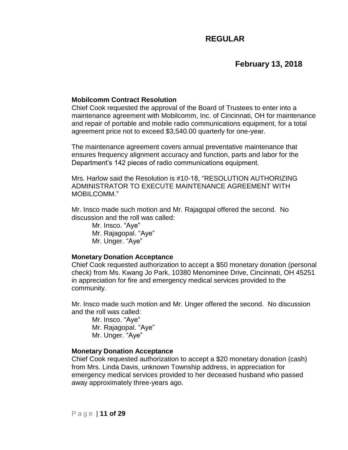## **February 13, 2018**

### **Mobilcomm Contract Resolution**

Chief Cook requested the approval of the Board of Trustees to enter into a maintenance agreement with Mobilcomm, Inc. of Cincinnati, OH for maintenance and repair of portable and mobile radio communications equipment, for a total agreement price not to exceed \$3,540.00 quarterly for one-year.

The maintenance agreement covers annual preventative maintenance that ensures frequency alignment accuracy and function, parts and labor for the Department's 142 pieces of radio communications equipment.

Mrs. Harlow said the Resolution is #10-18, "RESOLUTION AUTHORIZING ADMINISTRATOR TO EXECUTE MAINTENANCE AGREEMENT WITH MOBILCOMM."

Mr. Insco made such motion and Mr. Rajagopal offered the second. No discussion and the roll was called:

Mr. Insco. "Aye" Mr. Rajagopal. "Aye" Mr. Unger. "Aye"

### **Monetary Donation Acceptance**

Chief Cook requested authorization to accept a \$50 monetary donation (personal check) from Ms. Kwang Jo Park, 10380 Menominee Drive, Cincinnati, OH 45251 in appreciation for fire and emergency medical services provided to the community.

Mr. Insco made such motion and Mr. Unger offered the second. No discussion and the roll was called:

Mr. Insco. "Aye" Mr. Rajagopal. "Aye" Mr. Unger. "Aye"

### **Monetary Donation Acceptance**

Chief Cook requested authorization to accept a \$20 monetary donation (cash) from Mrs. Linda Davis, unknown Township address, in appreciation for emergency medical services provided to her deceased husband who passed away approximately three-years ago.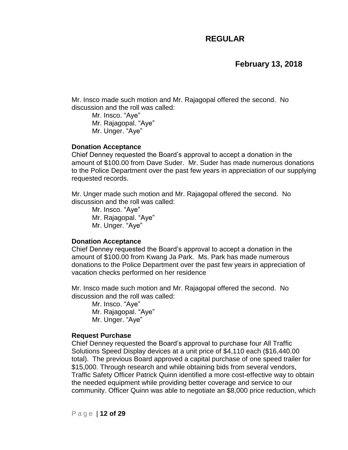### **February 13, 2018**

Mr. Insco made such motion and Mr. Rajagopal offered the second. No discussion and the roll was called:

- Mr. Insco. "Aye"
- Mr. Rajagopal. "Aye"
- Mr. Unger. "Aye"

#### **Donation Acceptance**

Chief Denney requested the Board's approval to accept a donation in the amount of \$100.00 from Dave Suder. Mr. Suder has made numerous donations to the Police Department over the past few years in appreciation of our supplying requested records.

Mr. Unger made such motion and Mr. Rajagopal offered the second. No discussion and the roll was called:

Mr. Insco. "Aye" Mr. Rajagopal. "Aye" Mr. Unger. "Aye"

#### **Donation Acceptance**

Chief Denney requested the Board's approval to accept a donation in the amount of \$100.00 from Kwang Ja Park. Ms. Park has made numerous donations to the Police Department over the past few years in appreciation of vacation checks performed on her residence

Mr. Insco made such motion and Mr. Rajagopal offered the second. No discussion and the roll was called:

Mr. Insco. "Aye" Mr. Rajagopal. "Aye" Mr. Unger. "Aye"

#### **Request Purchase**

Chief Denney requested the Board's approval to purchase four All Traffic Solutions Speed Display devices at a unit price of \$4,110 each (\$16,440.00 total). The previous Board approved a capital purchase of one speed trailer for \$15,000. Through research and while obtaining bids from several vendors, Traffic Safety Officer Patrick Quinn identified a more cost-effective way to obtain the needed equipment while providing better coverage and service to our community. Officer Quinn was able to negotiate an \$8,000 price reduction, which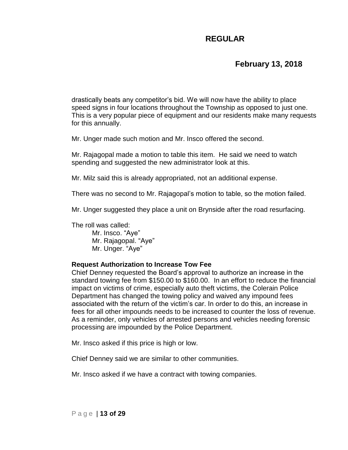## **February 13, 2018**

drastically beats any competitor's bid. We will now have the ability to place speed signs in four locations throughout the Township as opposed to just one. This is a very popular piece of equipment and our residents make many requests for this annually.

Mr. Unger made such motion and Mr. Insco offered the second.

Mr. Rajagopal made a motion to table this item. He said we need to watch spending and suggested the new administrator look at this.

Mr. Milz said this is already appropriated, not an additional expense.

There was no second to Mr. Rajagopal's motion to table, so the motion failed.

Mr. Unger suggested they place a unit on Brynside after the road resurfacing.

The roll was called:

Mr. Insco. "Aye" Mr. Rajagopal. "Aye" Mr. Unger. "Aye"

#### **Request Authorization to Increase Tow Fee**

Chief Denney requested the Board's approval to authorize an increase in the standard towing fee from \$150.00 to \$160.00. In an effort to reduce the financial impact on victims of crime, especially auto theft victims, the Colerain Police Department has changed the towing policy and waived any impound fees associated with the return of the victim's car. In order to do this, an increase in fees for all other impounds needs to be increased to counter the loss of revenue. As a reminder, only vehicles of arrested persons and vehicles needing forensic processing are impounded by the Police Department.

Mr. Insco asked if this price is high or low.

Chief Denney said we are similar to other communities.

Mr. Insco asked if we have a contract with towing companies.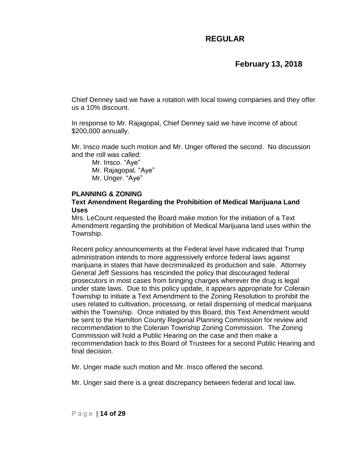## **February 13, 2018**

Chief Denney said we have a rotation with local towing companies and they offer us a 10% discount.

In response to Mr. Rajagopal, Chief Denney said we have income of about \$200,000 annually.

Mr. Insco made such motion and Mr. Unger offered the second. No discussion and the roll was called:

Mr. Insco. "Aye" Mr. Rajagopal. "Aye" Mr. Unger. "Aye"

#### **PLANNING & ZONING**

### **Text Amendment Regarding the Prohibition of Medical Marijuana Land Uses**

Mrs. LeCount requested the Board make motion for the initiation of a Text Amendment regarding the prohibition of Medical Marijuana land uses within the Township.

Recent policy announcements at the Federal level have indicated that Trump administration intends to more aggressively enforce federal laws against marijuana in states that have decriminalized its production and sale. Attorney General Jeff Sessions has rescinded the policy that discouraged federal prosecutors in most cases from bringing charges wherever the drug is legal under state laws. Due to this policy update, it appears appropriate for Colerain Township to initiate a Text Amendment to the Zoning Resolution to prohibit the uses related to cultivation, processing, or retail dispensing of medical marijuana within the Township. Once initiated by this Board, this Text Amendment would be sent to the Hamilton County Regional Planning Commission for review and recommendation to the Colerain Township Zoning Commission. The Zoning Commission will hold a Public Hearing on the case and then make a recommendation back to this Board of Trustees for a second Public Hearing and final decision.

Mr. Unger made such motion and Mr. Insco offered the second.

Mr. Unger said there is a great discrepancy between federal and local law.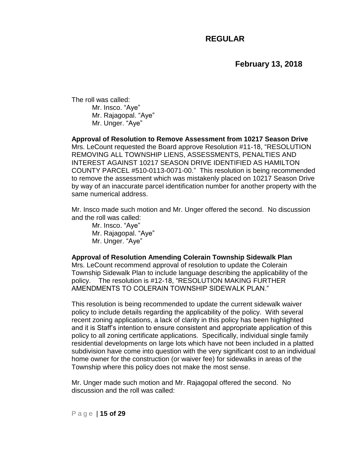**February 13, 2018**

The roll was called: Mr. Insco. "Aye" Mr. Rajagopal. "Aye" Mr. Unger. "Aye"

**Approval of Resolution to Remove Assessment from 10217 Season Drive** Mrs. LeCount requested the Board approve Resolution #11-18, "RESOLUTION REMOVING ALL TOWNSHIP LIENS, ASSESSMENTS, PENALTIES AND INTEREST AGAINST 10217 SEASON DRIVE IDENTIFIED AS HAMILTON COUNTY PARCEL #510-0113-0071-00." This resolution is being recommended to remove the assessment which was mistakenly placed on 10217 Season Drive by way of an inaccurate parcel identification number for another property with the same numerical address.

Mr. Insco made such motion and Mr. Unger offered the second. No discussion and the roll was called:

Mr. Insco. "Aye" Mr. Rajagopal. "Aye" Mr. Unger. "Aye"

### **Approval of Resolution Amending Colerain Township Sidewalk Plan**

Mrs. LeCount recommend approval of resolution to update the Colerain Township Sidewalk Plan to include language describing the applicability of the policy. The resolution is #12-18, "RESOLUTION MAKING FURTHER AMENDMENTS TO COLERAIN TOWNSHIP SIDEWALK PLAN."

This resolution is being recommended to update the current sidewalk waiver policy to include details regarding the applicability of the policy. With several recent zoning applications, a lack of clarity in this policy has been highlighted and it is Staff's intention to ensure consistent and appropriate application of this policy to all zoning certificate applications. Specifically, individual single family residential developments on large lots which have not been included in a platted subdivision have come into question with the very significant cost to an individual home owner for the construction (or waiver fee) for sidewalks in areas of the Township where this policy does not make the most sense.

Mr. Unger made such motion and Mr. Rajagopal offered the second. No discussion and the roll was called: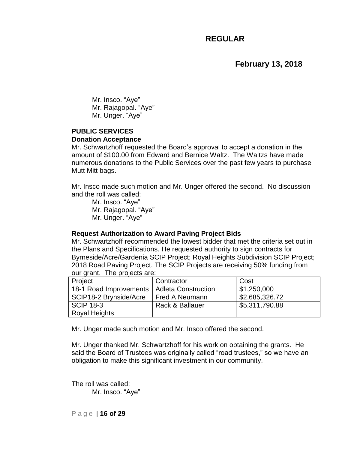**February 13, 2018**

Mr. Insco. "Aye" Mr. Rajagopal. "Aye" Mr. Unger. "Aye"

#### **PUBLIC SERVICES Donation Acceptance**

Mr. Schwartzhoff requested the Board's approval to accept a donation in the amount of \$100.00 from Edward and Bernice Waltz. The Waltzs have made numerous donations to the Public Services over the past few years to purchase Mutt Mitt bags.

Mr. Insco made such motion and Mr. Unger offered the second. No discussion and the roll was called:

Mr. Insco. "Aye" Mr. Rajagopal. "Aye" Mr. Unger. "Aye"

### **Request Authorization to Award Paving Project Bids**

Mr. Schwartzhoff recommended the lowest bidder that met the criteria set out in the Plans and Specifications. He requested authority to sign contracts for Byrneside/Acre/Gardenia SCIP Project; Royal Heights Subdivision SCIP Project; 2018 Road Paving Project. The SCIP Projects are receiving 50% funding from our grant. The projects are:

| Project                | Contractor          | Cost           |
|------------------------|---------------------|----------------|
| 18-1 Road Improvements | Adleta Construction | \$1,250,000    |
| SCIP18-2 Brynside/Acre | Fred A Neumann      | \$2,685,326.72 |
| <b>SCIP 18-3</b>       | Rack & Ballauer     | \$5,311,790.88 |
| Royal Heights          |                     |                |

Mr. Unger made such motion and Mr. Insco offered the second.

Mr. Unger thanked Mr. Schwartzhoff for his work on obtaining the grants. He said the Board of Trustees was originally called "road trustees," so we have an obligation to make this significant investment in our community.

The roll was called: Mr. Insco. "Aye"

P a g e | **16 of 29**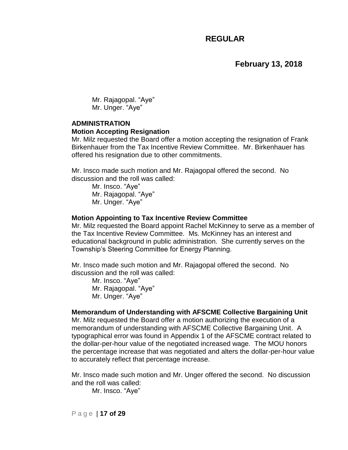**February 13, 2018**

Mr. Rajagopal. "Aye" Mr. Unger. "Aye"

### **ADMINISTRATION Motion Accepting Resignation**

Mr. Milz requested the Board offer a motion accepting the resignation of Frank Birkenhauer from the Tax Incentive Review Committee. Mr. Birkenhauer has offered his resignation due to other commitments.

Mr. Insco made such motion and Mr. Rajagopal offered the second. No discussion and the roll was called:

Mr. Insco. "Aye"

Mr. Rajagopal. "Aye"

Mr. Unger. "Aye"

### **Motion Appointing to Tax Incentive Review Committee**

Mr. Milz requested the Board appoint Rachel McKinney to serve as a member of the Tax Incentive Review Committee. Ms. McKinney has an interest and educational background in public administration. She currently serves on the Township's Steering Committee for Energy Planning.

Mr. Insco made such motion and Mr. Rajagopal offered the second. No discussion and the roll was called:

Mr. Insco. "Aye" Mr. Rajagopal. "Aye" Mr. Unger. "Aye"

### **Memorandum of Understanding with AFSCME Collective Bargaining Unit**

Mr. Milz requested the Board offer a motion authorizing the execution of a memorandum of understanding with AFSCME Collective Bargaining Unit. A typographical error was found in Appendix 1 of the AFSCME contract related to the dollar-per-hour value of the negotiated increased wage. The MOU honors the percentage increase that was negotiated and alters the dollar-per-hour value to accurately reflect that percentage increase.

Mr. Insco made such motion and Mr. Unger offered the second. No discussion and the roll was called:

Mr. Insco. "Aye"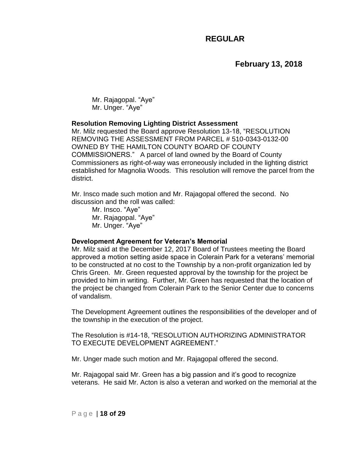### **February 13, 2018**

Mr. Rajagopal. "Aye" Mr. Unger. "Aye"

### **Resolution Removing Lighting District Assessment**

Mr. Milz requested the Board approve Resolution 13-18, "RESOLUTION REMOVING THE ASSESSMENT FROM PARCEL # 510-0343-0132-00 OWNED BY THE HAMILTON COUNTY BOARD OF COUNTY COMMISSIONERS." A parcel of land owned by the Board of County Commissioners as right-of-way was erroneously included in the lighting district established for Magnolia Woods. This resolution will remove the parcel from the district.

Mr. Insco made such motion and Mr. Rajagopal offered the second. No discussion and the roll was called:

Mr. Insco. "Aye" Mr. Rajagopal. "Aye" Mr. Unger. "Aye"

#### **Development Agreement for Veteran's Memorial**

Mr. Milz said at the December 12, 2017 Board of Trustees meeting the Board approved a motion setting aside space in Colerain Park for a veterans' memorial to be constructed at no cost to the Township by a non-profit organization led by Chris Green. Mr. Green requested approval by the township for the project be provided to him in writing. Further, Mr. Green has requested that the location of the project be changed from Colerain Park to the Senior Center due to concerns of vandalism.

The Development Agreement outlines the responsibilities of the developer and of the township in the execution of the project.

The Resolution is #14-18, "RESOLUTION AUTHORIZING ADMINISTRATOR TO EXECUTE DEVELOPMENT AGREEMENT."

Mr. Unger made such motion and Mr. Rajagopal offered the second.

Mr. Rajagopal said Mr. Green has a big passion and it's good to recognize veterans. He said Mr. Acton is also a veteran and worked on the memorial at the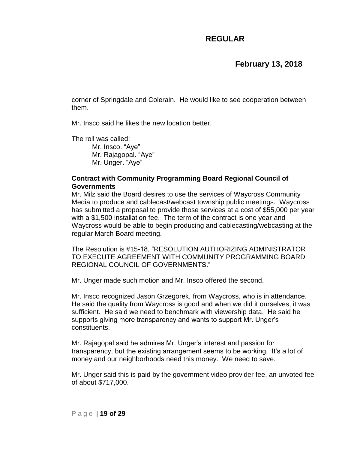## **February 13, 2018**

corner of Springdale and Colerain. He would like to see cooperation between them.

Mr. Insco said he likes the new location better.

The roll was called: Mr. Insco. "Aye" Mr. Rajagopal. "Aye" Mr. Unger. "Aye"

### **Contract with Community Programming Board Regional Council of Governments**

Mr. Milz said the Board desires to use the services of Waycross Community Media to produce and cablecast/webcast township public meetings. Waycross has submitted a proposal to provide those services at a cost of \$55,000 per year with a \$1,500 installation fee. The term of the contract is one year and Waycross would be able to begin producing and cablecasting/webcasting at the regular March Board meeting.

The Resolution is #15-18, "RESOLUTION AUTHORIZING ADMINISTRATOR TO EXECUTE AGREEMENT WITH COMMUNITY PROGRAMMING BOARD REGIONAL COUNCIL OF GOVERNMENTS."

Mr. Unger made such motion and Mr. Insco offered the second.

Mr. Insco recognized Jason [Grzegorek,](mailto:jason@waycross.org) from Waycross, who is in attendance. He said the quality from Waycross is good and when we did it ourselves, it was sufficient. He said we need to benchmark with viewership data. He said he supports giving more transparency and wants to support Mr. Unger's constituents.

Mr. Rajagopal said he admires Mr. Unger's interest and passion for transparency, but the existing arrangement seems to be working. It's a lot of money and our neighborhoods need this money. We need to save.

Mr. Unger said this is paid by the government video provider fee, an unvoted fee of about \$717,000.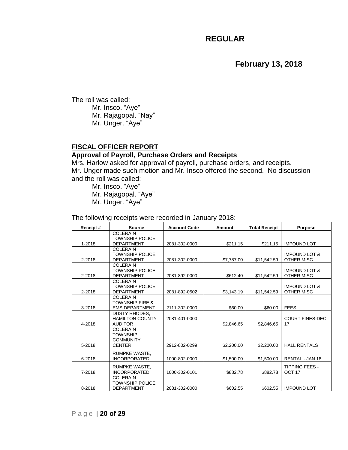**February 13, 2018**

The roll was called: Mr. Insco. "Aye" Mr. Rajagopal. "Nay" Mr. Unger. "Aye"

### **FISCAL OFFICER REPORT**

### **Approval of Payroll, Purchase Orders and Receipts**

Mrs. Harlow asked for approval of payroll, purchase orders, and receipts. Mr. Unger made such motion and Mr. Insco offered the second. No discussion and the roll was called:

Mr. Insco. "Aye"

Mr. Rajagopal. "Aye"

Mr. Unger. "Aye"

### The following receipts were recorded in January 2018:

| Receipt# | <b>Source</b>                                                           | <b>Account Code</b> | <b>Amount</b> | <b>Total Receipt</b> | <b>Purpose</b>                                |
|----------|-------------------------------------------------------------------------|---------------------|---------------|----------------------|-----------------------------------------------|
| 1-2018   | <b>COLERAIN</b><br><b>TOWNSHIP POLICE</b><br><b>DEPARTMENT</b>          | 2081-302-0000       | \$211.15      | \$211.15             | <b>IMPOUND LOT</b>                            |
|          | <b>COLERAIN</b>                                                         |                     |               |                      |                                               |
| 2-2018   | <b>TOWNSHIP POLICE</b><br><b>DEPARTMENT</b>                             | 2081-302-0000       | \$7,787.00    | \$11,542.59          | <b>IMPOUND LOT &amp;</b><br><b>OTHER MISC</b> |
| 2-2018   | <b>COLERAIN</b><br><b>TOWNSHIP POLICE</b><br><b>DEPARTMENT</b>          | 2081-892-0000       | \$612.40      | \$11,542.59          | <b>IMPOUND LOT &amp;</b><br><b>OTHER MISC</b> |
| 2-2018   | <b>COLERAIN</b><br><b>TOWNSHIP POLICE</b><br><b>DEPARTMENT</b>          | 2081-892-0502       | \$3,143.19    | \$11,542.59          | <b>IMPOUND LOT &amp;</b><br><b>OTHER MISC</b> |
|          | <b>COLERAIN</b>                                                         |                     |               |                      |                                               |
| 3-2018   | <b>TOWNSHIP FIRE &amp;</b><br><b>EMS DEPARTMENT</b>                     | 2111-302-0000       | \$60.00       | \$60.00              | <b>FEES</b>                                   |
| 4-2018   | <b>DUSTY RHODES.</b><br><b>HAMILTON COUNTY</b><br><b>AUDITOR</b>        | 2081-401-0000       | \$2,846.65    | \$2,846.65           | <b>COURT FINES-DEC</b><br>17                  |
| 5-2018   | <b>COLERAIN</b><br><b>TOWNSHIP</b><br><b>COMMUNITY</b><br><b>CENTER</b> | 2912-802-0299       | \$2,200.00    | \$2,200.00           | <b>HALL RENTALS</b>                           |
|          |                                                                         |                     |               |                      |                                               |
| 6-2018   | RUMPKE WASTE,<br><b>INCORPORATED</b>                                    | 1000-802-0000       | \$1,500.00    | \$1,500.00           | <b>RENTAL - JAN 18</b>                        |
| 7-2018   | RUMPKE WASTE,<br><b>INCORPORATED</b>                                    | 1000-302-0101       | \$882.78      | \$882.78             | <b>TIPPING FEES-</b><br>OCT <sub>17</sub>     |
| 8-2018   | <b>COLERAIN</b><br><b>TOWNSHIP POLICE</b><br><b>DEPARTMENT</b>          | 2081-302-0000       | \$602.55      | \$602.55             | <b>IMPOUND LOT</b>                            |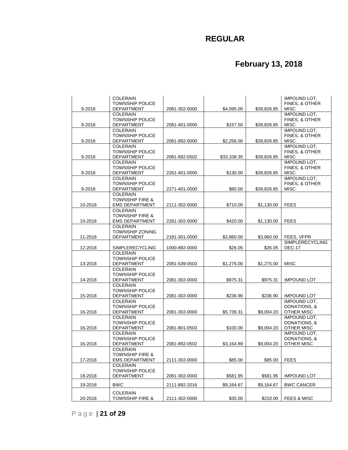|         | <b>COLERAIN</b><br><b>TOWNSHIP POLICE</b>           |               |             |             | <b>IMPOUND LOT,</b><br>FINES, & OTHER    |
|---------|-----------------------------------------------------|---------------|-------------|-------------|------------------------------------------|
| 9-2018  | <b>DEPARTMENT</b>                                   | 2081-302-0000 | \$4,095.00  | \$39,826.85 | <b>MISC</b>                              |
|         | <b>COLERAIN</b>                                     |               |             |             | <b>IMPOUND LOT.</b>                      |
| 9-2018  | <b>TOWNSHIP POLICE</b><br>DEPARTMENT                | 2081-401-0000 | \$157.50    | \$39,826.85 | FINES, & OTHER<br><b>MISC</b>            |
|         | <b>COLERAIN</b>                                     |               |             |             | <b>IMPOUND LOT,</b>                      |
|         | <b>TOWNSHIP POLICE</b>                              |               |             |             | FINES, & OTHER                           |
| 9-2018  | <b>DEPARTMENT</b>                                   | 2081-892-0000 | \$2,256.00  | \$39,826.85 | <b>MISC</b>                              |
|         | <b>COLERAIN</b><br><b>TOWNSHIP POLICE</b>           |               |             |             | <b>IMPOUND LOT,</b><br>FINES, & OTHER    |
| 9-2018  | DEPARTMENT                                          | 2081-892-0502 | \$33,108.35 | \$39,826.85 | <b>MISC</b>                              |
|         | <b>COLERAIN</b>                                     |               |             |             | <b>IMPOUND LOT,</b>                      |
|         | <b>TOWNSHIP POLICE</b>                              |               |             |             | <b>FINES, &amp; OTHER</b>                |
| 9-2018  | <b>DEPARTMENT</b><br><b>COLERAIN</b>                | 2261-401-0000 | \$130.00    | \$39,826.85 | <b>MISC</b><br><b>IMPOUND LOT,</b>       |
|         | <b>TOWNSHIP POLICE</b>                              |               |             |             | FINES, & OTHER                           |
| 9-2018  | <b>DEPARTMENT</b>                                   | 2271-401-0000 | \$80.00     | \$39,826.85 | <b>MISC</b>                              |
|         | <b>COLERAIN</b>                                     |               |             |             |                                          |
| 10-2018 | <b>TOWNSHIP FIRE &amp;</b><br><b>EMS DEPARTMENT</b> | 2111-302-0000 | \$710.00    | \$1,130.00  | <b>FEES</b>                              |
|         | <b>COLERAIN</b>                                     |               |             |             |                                          |
|         | <b>TOWNSHIP FIRE &amp;</b>                          |               |             |             |                                          |
| 10-2018 | <b>EMS DEPARTMENT</b>                               | 2281-302-0000 | \$420.00    | \$1,130.00  | <b>FEES</b>                              |
|         | <b>COLERAIN</b><br><b>TOWNSHIP ZONING</b>           |               |             |             |                                          |
| 11-2018 | <b>DEPARTMENT</b>                                   | 2181-301-0000 | \$3,860.00  | \$3,860.00  | FEES, VFPR                               |
|         |                                                     |               |             |             | SIMPLERECYCLING                          |
| 12-2018 | <b>SIMPLERECYCLING</b><br>COI FRAIN                 | 1000-892-0000 | \$26.05     | \$26.05     | <b>DEC-17</b>                            |
|         | <b>TOWNSHIP POLICE</b>                              |               |             |             |                                          |
| 13-2018 | <b>DEPARTMENT</b>                                   | 2081-539-0503 | \$1,275.00  | \$1,275.00  | <b>MISC</b>                              |
|         | <b>COLERAIN</b>                                     |               |             |             |                                          |
| 14-2018 | <b>TOWNSHIP POLICE</b><br><b>DEPARTMENT</b>         | 2081-302-0000 | \$975.31    | \$975.31    | <b>IMPOUND LOT</b>                       |
|         | <b>COLERAIN</b>                                     |               |             |             |                                          |
|         | <b>TOWNSHIP POLICE</b>                              |               |             |             |                                          |
| 15-2018 | <b>DEPARTMENT</b>                                   | 2081-302-0000 | \$236.90    | \$236.90    | <b>IMPOUND LOT</b>                       |
|         | <b>COLERAIN</b><br><b>TOWNSHIP POLICE</b>           |               |             |             | <b>IMPOUND LOT,</b><br>DONATIONS, &      |
| 16-2018 | <b>DEPARTMENT</b>                                   | 2081-302-0000 | \$5,739.31  | \$9,004.20  | OTHER MISC                               |
|         | <b>COLERAIN</b>                                     |               |             |             | <b>IMPOUND LOT.</b>                      |
|         | <b>TOWNSHIP POLICE</b>                              |               |             |             | DONATIONS, &                             |
| 16-2018 | <b>DEPARTMENT</b><br><b>COLERAIN</b>                | 2081-801-0503 | \$100.00    | \$9.004.20  | <b>OTHER MISC</b><br><b>IMPOUND LOT.</b> |
|         | <b>TOWNSHIP POLICE</b>                              |               |             |             | DONATIONS, &                             |
| 16-2018 | <b>DEPARTMENT</b>                                   | 2081-892-0502 | \$3,164.89  | \$9,004.20  | <b>OTHER MISC</b>                        |
|         | <b>COLERAIN</b>                                     |               |             |             |                                          |
| 17-2018 | <b>TOWNSHIP FIRE &amp;</b><br><b>EMS DEPARTMENT</b> | 2111-302-0000 | \$85.00     | \$85.00     | <b>FEES</b>                              |
|         | <b>COLERAIN</b>                                     |               |             |             |                                          |
|         | <b>TOWNSHIP POLICE</b>                              |               |             |             |                                          |
| 18-2018 | DEPARTMENT                                          | 2081-302-0000 | \$581.95    | \$581.95    | <b>IMPOUND LOT</b>                       |
| 19-2018 | <b>BWC</b>                                          | 2111-892-2016 | \$9,164.67  | \$9,164.67  | <b>BWC CANCER</b>                        |
|         | <b>COLERAIN</b>                                     |               |             |             |                                          |
| 20-2018 | <b>TOWNSHIP FIRE &amp;</b>                          | 2111-302-0000 | \$35.00     | \$210.00    | FEES & MISC                              |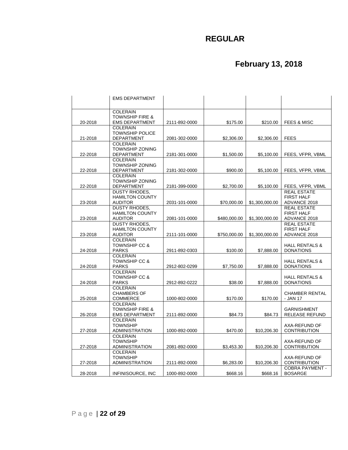|         | <b>EMS DEPARTMENT</b>                                                  |               |              |                |                                                         |
|---------|------------------------------------------------------------------------|---------------|--------------|----------------|---------------------------------------------------------|
| 20-2018 | <b>COLERAIN</b><br><b>TOWNSHIP FIRE &amp;</b><br><b>EMS DEPARTMENT</b> | 2111-892-0000 | \$175.00     | \$210.00       | <b>FEES &amp; MISC</b>                                  |
| 21-2018 | <b>COLERAIN</b><br><b>TOWNSHIP POLICE</b><br><b>DEPARTMENT</b>         | 2081-302-0000 | \$2,306.00   | \$2,306.00     | <b>FEES</b>                                             |
| 22-2018 | <b>COLERAIN</b><br><b>TOWNSHIP ZONING</b><br><b>DEPARTMENT</b>         | 2181-301-0000 | \$1,500.00   | \$5,100.00     | FEES, VFPR, VBML                                        |
| 22-2018 | <b>COLERAIN</b><br><b>TOWNSHIP ZONING</b><br><b>DEPARTMENT</b>         | 2181-302-0000 | \$900.00     | \$5,100.00     | FEES, VFPR, VBML                                        |
| 22-2018 | <b>COLERAIN</b><br><b>TOWNSHIP ZONING</b><br><b>DEPARTMENT</b>         | 2181-399-0000 | \$2,700.00   | \$5,100.00     | FEES, VFPR, VBML                                        |
| 23-2018 | <b>DUSTY RHODES.</b><br><b>HAMILTON COUNTY</b><br><b>AUDITOR</b>       | 2031-101-0000 | \$70,000.00  | \$1,300,000.00 | <b>REAL ESTATE</b><br><b>FIRST HALF</b><br>ADVANCE 2018 |
| 23-2018 | <b>DUSTY RHODES.</b><br><b>HAMILTON COUNTY</b><br><b>AUDITOR</b>       | 2081-101-0000 | \$480,000.00 | \$1,300,000.00 | <b>REAL ESTATE</b><br><b>FIRST HALF</b><br>ADVANCE 2018 |
| 23-2018 | <b>DUSTY RHODES.</b><br><b>HAMILTON COUNTY</b><br><b>AUDITOR</b>       | 2111-101-0000 | \$750,000.00 | \$1,300,000,00 | <b>REAL ESTATE</b><br><b>FIRST HALF</b><br>ADVANCE 2018 |
| 24-2018 | <b>COLERAIN</b><br><b>TOWNSHIP CC &amp;</b><br><b>PARKS</b>            | 2911-892-0303 | \$100.00     | \$7,888.00     | <b>HALL RENTALS &amp;</b><br><b>DONATIONS</b>           |
| 24-2018 | <b>COLERAIN</b><br><b>TOWNSHIP CC &amp;</b><br><b>PARKS</b>            | 2912-802-0299 | \$7.750.00   | \$7.888.00     | <b>HALL RENTALS &amp;</b><br><b>DONATIONS</b>           |
| 24-2018 | <b>COLERAIN</b><br><b>TOWNSHIP CC &amp;</b><br><b>PARKS</b>            | 2912-892-0222 | \$38.00      | \$7,888.00     | <b>HALL RENTALS &amp;</b><br><b>DONATIONS</b>           |
| 25-2018 | <b>COLERAIN</b><br><b>CHAMBERS OF</b><br><b>COMMERCE</b>               | 1000-802-0000 | \$170.00     | \$170.00       | <b>CHAMBER RENTAL</b><br>- JAN 17                       |
| 26-2018 | <b>COLERAIN</b><br><b>TOWNSHIP FIRE &amp;</b><br><b>EMS DEPARTMENT</b> | 2111-892-0000 | \$84.73      | \$84.73        | <b>GARNISHMENT</b><br><b>RELEASE REFUND</b>             |
| 27-2018 | <b>COLERAIN</b><br><b>TOWNSHIP</b><br><b>ADMINISTRATION</b>            | 1000-892-0000 | \$470.00     | \$10,206.30    | AXA-REFUND OF<br><b>CONTRIBUTION</b>                    |
| 27-2018 | <b>COLERAIN</b><br><b>TOWNSHIP</b><br><b>ADMINISTRATION</b>            | 2081-892-0000 | \$3,453.30   | \$10,206.30    | AXA-REFUND OF<br><b>CONTRIBUTION</b>                    |
| 27-2018 | <b>COLERAIN</b><br><b>TOWNSHIP</b><br>ADMINISTRATION                   | 2111-892-0000 | \$6,283.00   | \$10,206.30    | AXA-REFUND OF<br><b>CONTRIBUTION</b>                    |
| 28-2018 | INFINISOURCE, INC                                                      | 1000-892-0000 | \$668.16     | \$668.16       | <b>COBRA PAYMENT -</b><br><b>BOSARGE</b>                |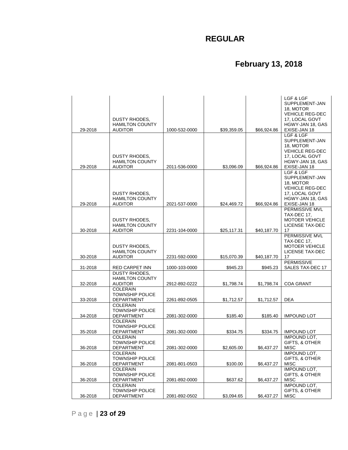| 29-2018 | DUSTY RHODES,<br><b>HAMILTON COUNTY</b><br><b>AUDITOR</b>        | 1000-532-0000 | \$39,359.05 | \$66,924.86 | LGF & LGF<br>SUPPLEMENT-JAN<br>18, MOTOR<br><b>VEHICLE REG-DEC</b><br>17, LOCAL GOVT<br>HGWY-JAN 18, GAS<br>EXISE-JAN 18 |
|---------|------------------------------------------------------------------|---------------|-------------|-------------|--------------------------------------------------------------------------------------------------------------------------|
|         |                                                                  |               |             |             | LGF & LGF<br>SUPPLEMENT-JAN                                                                                              |
| 29-2018 | DUSTY RHODES,<br><b>HAMILTON COUNTY</b><br><b>AUDITOR</b>        | 2011-536-0000 | \$3,096.09  | \$66,924.86 | 18, MOTOR<br><b>VEHICLE REG-DEC</b><br>17, LOCAL GOVT<br>HGWY-JAN 18, GAS<br>EXISE-JAN 18                                |
|         |                                                                  |               |             |             | LGF & LGF<br>SUPPLEMENT-JAN                                                                                              |
| 29-2018 | DUSTY RHODES,<br><b>HAMILTON COUNTY</b><br><b>AUDITOR</b>        | 2021-537-0000 | \$24,469.72 | \$66,924.86 | 18, MOTOR<br><b>VEHICLE REG-DEC</b><br>17, LOCAL GOVT<br>HGWY-JAN 18, GAS<br>EXISE-JAN 18                                |
| 30-2018 | DUSTY RHODES,<br><b>HAMILTON COUNTY</b><br><b>AUDITOR</b>        | 2231-104-0000 | \$25,117.31 | \$40,187.70 | PERMISSIVE MVL<br>TAX-DEC 17,<br><b>MOTOER VEHICLE</b><br><b>LICENSE TAX-DEC</b><br>17                                   |
|         |                                                                  |               |             |             | PERMISSIVE MVL                                                                                                           |
| 30-2018 | <b>DUSTY RHODES,</b><br><b>HAMILTON COUNTY</b><br><b>AUDITOR</b> | 2231-592-0000 | \$15,070.39 | \$40,187.70 | TAX-DEC 17.<br><b>MOTOER VEHICLE</b><br>LICENSE TAX-DEC<br>17                                                            |
| 31-2018 | <b>RED CARPET INN</b>                                            | 1000-103-0000 | \$945.23    | \$945.23    | <b>PERMISSIVE</b><br>SALES TAX-DEC 17                                                                                    |
| 32-2018 | <b>DUSTY RHODES,</b><br><b>HAMILTON COUNTY</b><br><b>AUDITOR</b> | 2912-892-0222 | \$1,798.74  | \$1,798.74  | COA GRANT                                                                                                                |
| 33-2018 | <b>COLERAIN</b><br><b>TOWNSHIP POLICE</b><br><b>DEPARTMENT</b>   | 2261-892-0505 | \$1,712.57  | \$1,712.57  | <b>DEA</b>                                                                                                               |
|         | <b>COLERAIN</b><br><b>TOWNSHIP POLICE</b>                        |               |             |             |                                                                                                                          |
| 34-2018 | <b>DEPARTMENT</b><br><b>COLERAIN</b>                             | 2081-302-0000 | \$185.40    | \$185.40    | <b>IMPOUND LOT</b>                                                                                                       |
| 35-2018 | <b>TOWNSHIP POLICE</b><br><b>DEPARTMENT</b>                      | 2081-302-0000 | \$334.75    | \$334.75    | <b>IMPOUND LOT</b>                                                                                                       |
| 36-2018 | <b>COLERAIN</b><br><b>TOWNSHIP POLICE</b><br>DEPARTMENT          | 2081-302-0000 | \$2,605.00  | \$6,437.27  | <b>IMPOUND LOT.</b><br>GIFTS, & OTHER<br>MISC                                                                            |
| 36-2018 | <b>COLERAIN</b><br><b>TOWNSHIP POLICE</b><br>DEPARTMENT          | 2081-801-0503 | \$100.00    | \$6,437.27  | <b>IMPOUND LOT,</b><br>GIFTS, & OTHER<br><b>MISC</b>                                                                     |
| 36-2018 | <b>COLERAIN</b><br><b>TOWNSHIP POLICE</b><br><b>DEPARTMENT</b>   | 2081-892-0000 | \$637.62    | \$6,437.27  | <b>IMPOUND LOT.</b><br>GIFTS, & OTHER<br><b>MISC</b>                                                                     |
| 36-2018 | <b>COLERAIN</b><br><b>TOWNSHIP POLICE</b><br><b>DEPARTMENT</b>   | 2081-892-0502 | \$3,094.65  | \$6,437.27  | <b>IMPOUND LOT.</b><br>GIFTS, & OTHER<br>MISC                                                                            |
|         |                                                                  |               |             |             |                                                                                                                          |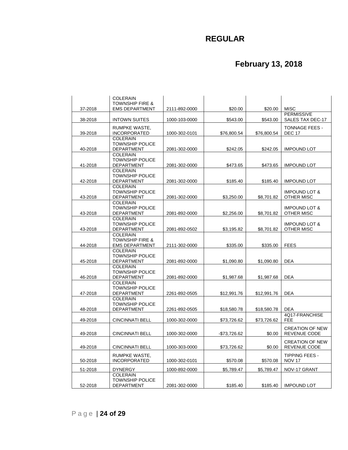| 37-2018 | <b>COLERAIN</b><br><b>TOWNSHIP FIRE &amp;</b><br><b>EMS DEPARTMENT</b> | 2111-892-0000 | \$20.00       | \$20.00     | <b>MISC</b>                                   |
|---------|------------------------------------------------------------------------|---------------|---------------|-------------|-----------------------------------------------|
| 38-2018 | <b>INTOWN SUITES</b>                                                   | 1000-103-0000 | \$543.00      | \$543.00    | <b>PERMISSIVE</b><br>SALES TAX DEC-17         |
| 39-2018 | RUMPKE WASTE,<br><b>INCORPORATED</b>                                   | 1000-302-0101 | \$76,800.54   | \$76,800.54 | <b>TONNAGE FEES -</b><br><b>DEC 17</b>        |
| 40-2018 | <b>COLERAIN</b><br><b>TOWNSHIP POLICE</b><br><b>DEPARTMENT</b>         | 2081-302-0000 | \$242.05      | \$242.05    | <b>IMPOUND LOT</b>                            |
| 41-2018 | <b>COLERAIN</b><br><b>TOWNSHIP POLICE</b><br><b>DEPARTMENT</b>         | 2081-302-0000 | \$473.65      | \$473.65    | <b>IMPOUND LOT</b>                            |
| 42-2018 | <b>COLERAIN</b><br><b>TOWNSHIP POLICE</b><br><b>DEPARTMENT</b>         | 2081-302-0000 | \$185.40      | \$185.40    | <b>IMPOUND LOT</b>                            |
| 43-2018 | <b>COLERAIN</b><br><b>TOWNSHIP POLICE</b><br><b>DEPARTMENT</b>         | 2081-302-0000 | \$3,250.00    | \$8,701.82  | <b>IMPOUND LOT &amp;</b><br>OTHER MISC        |
| 43-2018 | <b>COLERAIN</b><br><b>TOWNSHIP POLICE</b><br><b>DEPARTMENT</b>         | 2081-892-0000 | \$2,256.00    | \$8,701.82  | <b>IMPOUND LOT &amp;</b><br>OTHER MISC        |
| 43-2018 | <b>COLERAIN</b><br><b>TOWNSHIP POLICE</b><br><b>DEPARTMENT</b>         | 2081-892-0502 | \$3,195.82    | \$8,701.82  | <b>IMPOUND LOT &amp;</b><br>OTHER MISC        |
| 44-2018 | COI FRAIN<br><b>TOWNSHIP FIRE &amp;</b><br><b>EMS DEPARTMENT</b>       | 2111-302-0000 | \$335.00      | \$335.00    | <b>FEES</b>                                   |
| 45-2018 | <b>COLERAIN</b><br><b>TOWNSHIP POLICE</b><br><b>DEPARTMENT</b>         | 2081-892-0000 | \$1,090.80    | \$1,090.80  | <b>DEA</b>                                    |
| 46-2018 | <b>COLERAIN</b><br><b>TOWNSHIP POLICE</b><br><b>DEPARTMENT</b>         | 2081-892-0000 | \$1,987.68    | \$1,987.68  | <b>DEA</b>                                    |
| 47-2018 | <b>COLERAIN</b><br><b>TOWNSHIP POLICE</b><br><b>DEPARTMENT</b>         | 2261-892-0505 | \$12,991.76   | \$12,991.76 | <b>DEA</b>                                    |
| 48-2018 | <b>COLERAIN</b><br><b>TOWNSHIP POLICE</b><br><b>DEPARTMENT</b>         | 2261-892-0505 | \$18,580.78   | \$18,580.78 | <b>DEA</b>                                    |
| 49-2018 | <b>CINCINNATI BELL</b>                                                 | 1000-302-0000 | \$73,726.62   | \$73,726.62 | 4Q17-FRANCHISE<br><b>FEE</b>                  |
| 49-2018 | <b>CINCINNATI BELL</b>                                                 | 1000-302-0000 | $-$73,726.62$ | \$0.00      | <b>CREATION OF NEW</b><br><b>REVENUE CODE</b> |
| 49-2018 | <b>CINCINNATI BELL</b>                                                 | 1000-303-0000 | \$73,726.62   | \$0.00      | <b>CREATION OF NEW</b><br>REVENUE CODE        |
| 50-2018 | RUMPKE WASTE,<br><b>INCORPORATED</b>                                   | 1000-302-0101 | \$570.08      | \$570.08    | <b>TIPPING FEES -</b><br><b>NOV 17</b>        |
| 51-2018 | <b>DYNERGY</b>                                                         | 1000-892-0000 | \$5,789.47    | \$5,789.47  | NOV-17 GRANT                                  |
| 52-2018 | <b>COLERAIN</b><br><b>TOWNSHIP POLICE</b><br><b>DEPARTMENT</b>         | 2081-302-0000 | \$185.40      | \$185.40    | <b>IMPOUND LOT</b>                            |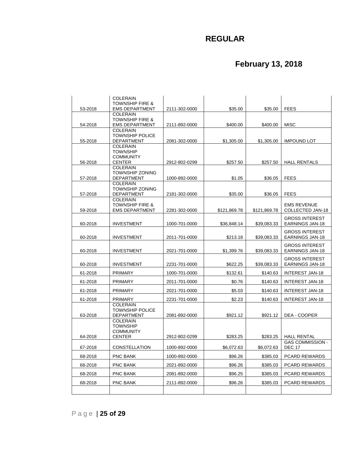| 53-2018 | <b>COLERAIN</b><br><b>TOWNSHIP FIRE &amp;</b><br><b>EMS DEPARTMENT</b> | 2111-302-0000 | \$35.00      | \$35.00      | <b>FEES</b>                                     |
|---------|------------------------------------------------------------------------|---------------|--------------|--------------|-------------------------------------------------|
|         | COI FRAIN                                                              |               |              |              |                                                 |
| 54-2018 | <b>TOWNSHIP FIRE &amp;</b><br><b>EMS DEPARTMENT</b>                    | 2111-892-0000 | \$400.00     | \$400.00     | <b>MISC</b>                                     |
|         | <b>COLERAIN</b>                                                        |               |              |              |                                                 |
| 55-2018 | <b>TOWNSHIP POLICE</b><br><b>DEPARTMENT</b>                            | 2081-302-0000 | \$1,305.00   | \$1,305.00   | <b>IMPOUND LOT</b>                              |
|         | <b>COLERAIN</b>                                                        |               |              |              |                                                 |
|         | <b>TOWNSHIP</b>                                                        |               |              |              |                                                 |
| 56-2018 | <b>COMMUNITY</b><br><b>CENTER</b>                                      | 2912-802-0299 | \$257.50     | \$257.50     | <b>HALL RENTALS</b>                             |
|         | <b>COLERAIN</b>                                                        |               |              |              |                                                 |
| 57-2018 | <b>TOWNSHIP ZONING</b><br>DEPARTMENT                                   | 1000-892-0000 | \$1.05       | \$36.05      | <b>FEES</b>                                     |
|         | <b>COLERAIN</b>                                                        |               |              |              |                                                 |
| 57-2018 | <b>TOWNSHIP ZONING</b><br><b>DEPARTMENT</b>                            | 2181-302-0000 | \$35.00      | \$36.05      | <b>FEES</b>                                     |
|         | <b>COLERAIN</b>                                                        |               |              |              |                                                 |
|         | <b>TOWNSHIP FIRE &amp;</b>                                             |               |              |              | <b>EMS REVENUE</b>                              |
| 59-2018 | <b>EMS DEPARTMENT</b>                                                  | 2281-302-0000 | \$121.869.78 | \$121,869.78 | COLLECTED JAN-18                                |
| 60-2018 | <b>INVESTMENT</b>                                                      | 1000-701-0000 | \$36.848.14  | \$39,083.33  | <b>GROSS INTEREST</b><br><b>EARNINGS JAN-18</b> |
|         |                                                                        |               |              |              | <b>GROSS INTEREST</b>                           |
| 60-2018 | <b>INVESTMENT</b>                                                      | 2011-701-0000 | \$213.18     | \$39,083.33  | <b>EARNINGS JAN-18</b>                          |
|         |                                                                        |               |              |              | <b>GROSS INTEREST</b>                           |
| 60-2018 | <b>INVESTMENT</b>                                                      | 2021-701-0000 | \$1,399.76   | \$39,083.33  | <b>EARNINGS JAN-18</b>                          |
|         |                                                                        |               |              |              | <b>GROSS INTEREST</b>                           |
| 60-2018 | <b>INVESTMENT</b>                                                      | 2231-701-0000 | \$622.25     | \$39,083.33  | <b>EARNINGS JAN-18</b>                          |
| 61-2018 | <b>PRIMARY</b>                                                         | 1000-701-0000 | \$132.61     | \$140.63     | INTEREST JAN-18                                 |
| 61-2018 | <b>PRIMARY</b>                                                         | 2011-701-0000 | \$0.76       | \$140.63     | INTEREST JAN-18                                 |
| 61-2018 | <b>PRIMARY</b>                                                         | 2021-701-0000 | \$5.03       | \$140.63     | INTEREST JAN-18                                 |
| 61-2018 | <b>PRIMARY</b>                                                         | 2231-701-0000 | \$2.23       | \$140.63     | INTEREST JAN-18                                 |
|         | <b>COLERAIN</b><br><b>TOWNSHIP POLICE</b>                              |               |              |              |                                                 |
| 63-2018 | <b>DEPARTMENT</b>                                                      | 2081-892-0000 | \$921.12     | \$921.12     | DEA - COOPER                                    |
|         | <b>COLERAIN</b>                                                        |               |              |              |                                                 |
|         | <b>TOWNSHIP</b><br><b>COMMUNITY</b>                                    |               |              |              |                                                 |
| 64-2018 | <b>CENTER</b>                                                          | 2912-802-0299 | \$283.25     | \$283.25     | <b>HALL RENTAL</b>                              |
| 67-2018 | <b>CONSTELLATION</b>                                                   | 1000-892-0000 | \$6,072.63   | \$6,072.63   | <b>GAS COMMISSION -</b><br><b>DEC 17</b>        |
| 68-2018 | PNC BANK                                                               | 1000-892-0000 | \$96.26      |              | PCARD REWARDS                                   |
|         |                                                                        |               |              | \$385.03     |                                                 |
| 68-2018 | PNC BANK                                                               | 2021-892-0000 | \$96.26      | \$385.03     | PCARD REWARDS                                   |
| 68-2018 | PNC BANK                                                               | 2081-892-0000 | \$96.25      | \$385.03     | <b>PCARD REWARDS</b>                            |
| 68-2018 | PNC BANK                                                               | 2111-892-0000 | \$96.26      | \$385.03     | <b>PCARD REWARDS</b>                            |
|         |                                                                        |               |              |              |                                                 |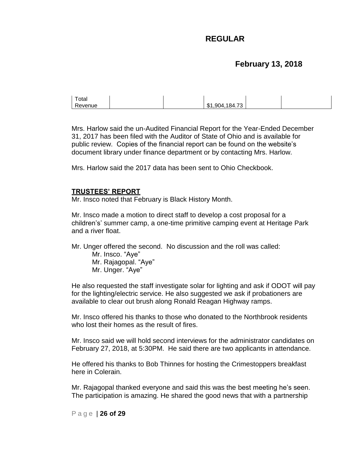## **February 13, 2018**

| Total       |                                  |  |
|-------------|----------------------------------|--|
| D.<br>venue | 70<br>184<br>ጥ<br>Q∩⊿<br>۰D<br>ີ |  |

Mrs. Harlow said the un-Audited Financial Report for the Year-Ended December 31, 2017 has been filed with the Auditor of State of Ohio and is available for public review. Copies of the financial report can be found on the website's document library under finance department or by contacting Mrs. Harlow.

Mrs. Harlow said the 2017 data has been sent to Ohio Checkbook.

#### **TRUSTEES' REPORT**

Mr. Insco noted that February is Black History Month.

Mr. Insco made a motion to direct staff to develop a cost proposal for a children's' summer camp, a one-time primitive camping event at Heritage Park and a river float.

Mr. Unger offered the second. No discussion and the roll was called:

Mr. Insco. "Aye" Mr. Rajagopal. "Aye" Mr. Unger. "Aye"

He also requested the staff investigate solar for lighting and ask if ODOT will pay for the lighting/electric service. He also suggested we ask if probationers are available to clear out brush along Ronald Reagan Highway ramps.

Mr. Insco offered his thanks to those who donated to the Northbrook residents who lost their homes as the result of fires.

Mr. Insco said we will hold second interviews for the administrator candidates on February 27, 2018, at 5:30PM. He said there are two applicants in attendance.

He offered his thanks to Bob Thinnes for hosting the Crimestoppers breakfast here in Colerain.

Mr. Rajagopal thanked everyone and said this was the best meeting he's seen. The participation is amazing. He shared the good news that with a partnership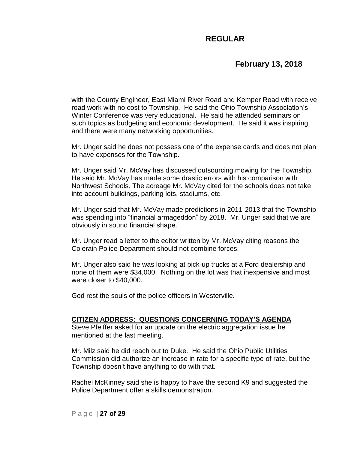### **February 13, 2018**

with the County Engineer, East Miami River Road and Kemper Road with receive road work with no cost to Township. He said the Ohio Township Association's Winter Conference was very educational. He said he attended seminars on such topics as budgeting and economic development. He said it was inspiring and there were many networking opportunities.

Mr. Unger said he does not possess one of the expense cards and does not plan to have expenses for the Township.

Mr. Unger said Mr. McVay has discussed outsourcing mowing for the Township. He said Mr. McVay has made some drastic errors with his comparison with Northwest Schools. The acreage Mr. McVay cited for the schools does not take into account buildings, parking lots, stadiums, etc.

Mr. Unger said that Mr. McVay made predictions in 2011-2013 that the Township was spending into "financial armageddon" by 2018. Mr. Unger said that we are obviously in sound financial shape.

Mr. Unger read a letter to the editor written by Mr. McVay citing reasons the Colerain Police Department should not combine forces.

Mr. Unger also said he was looking at pick-up trucks at a Ford dealership and none of them were \$34,000. Nothing on the lot was that inexpensive and most were closer to \$40,000.

God rest the souls of the police officers in Westerville.

#### **CITIZEN ADDRESS: QUESTIONS CONCERNING TODAY'S AGENDA**

Steve Pfeiffer asked for an update on the electric aggregation issue he mentioned at the last meeting.

Mr. Milz said he did reach out to Duke. He said the Ohio Public Utilities Commission did authorize an increase in rate for a specific type of rate, but the Township doesn't have anything to do with that.

Rachel McKinney said she is happy to have the second K9 and suggested the Police Department offer a skills demonstration.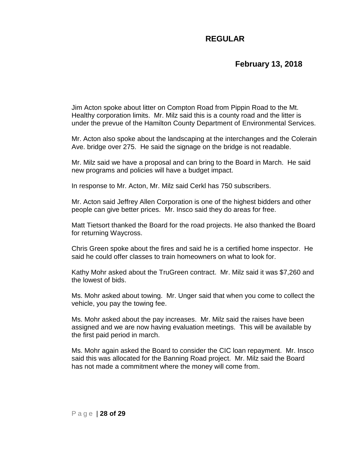### **February 13, 2018**

Jim Acton spoke about litter on Compton Road from Pippin Road to the Mt. Healthy corporation limits. Mr. Milz said this is a county road and the litter is under the prevue of the Hamilton County Department of Environmental Services.

Mr. Acton also spoke about the landscaping at the interchanges and the Colerain Ave. bridge over 275. He said the signage on the bridge is not readable.

Mr. Milz said we have a proposal and can bring to the Board in March. He said new programs and policies will have a budget impact.

In response to Mr. Acton, Mr. Milz said Cerkl has 750 subscribers.

Mr. Acton said Jeffrey Allen Corporation is one of the highest bidders and other people can give better prices. Mr. Insco said they do areas for free.

Matt Tietsort thanked the Board for the road projects. He also thanked the Board for returning Waycross.

Chris Green spoke about the fires and said he is a certified home inspector. He said he could offer classes to train homeowners on what to look for.

Kathy Mohr asked about the TruGreen contract. Mr. Milz said it was \$7,260 and the lowest of bids.

Ms. Mohr asked about towing. Mr. Unger said that when you come to collect the vehicle, you pay the towing fee.

Ms. Mohr asked about the pay increases. Mr. Milz said the raises have been assigned and we are now having evaluation meetings. This will be available by the first paid period in march.

Ms. Mohr again asked the Board to consider the CIC loan repayment. Mr. Insco said this was allocated for the Banning Road project. Mr. Milz said the Board has not made a commitment where the money will come from.